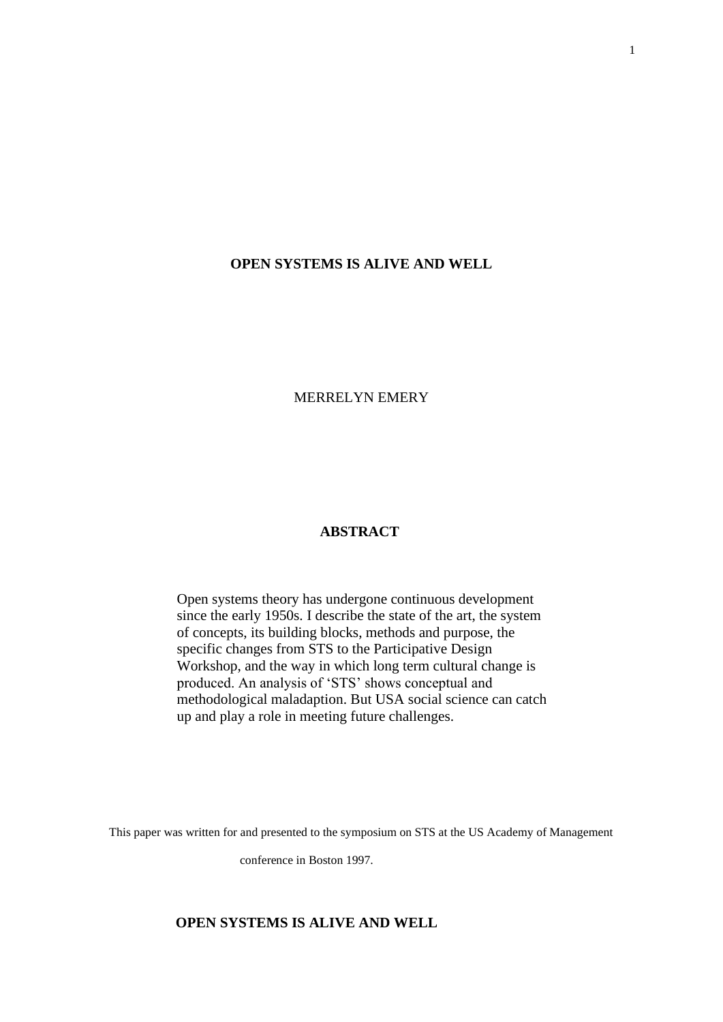### **OPEN SYSTEMS IS ALIVE AND WELL**

MERRELYN EMERY

#### **ABSTRACT**

Open systems theory has undergone continuous development since the early 1950s. I describe the state of the art, the system of concepts, its building blocks, methods and purpose, the specific changes from STS to the Participative Design Workshop, and the way in which long term cultural change is produced. An analysis of 'STS' shows conceptual and methodological maladaption. But USA social science can catch up and play a role in meeting future challenges.

This paper was written for and presented to the symposium on STS at the US Academy of Management

conference in Boston 1997.

### **OPEN SYSTEMS IS ALIVE AND WELL**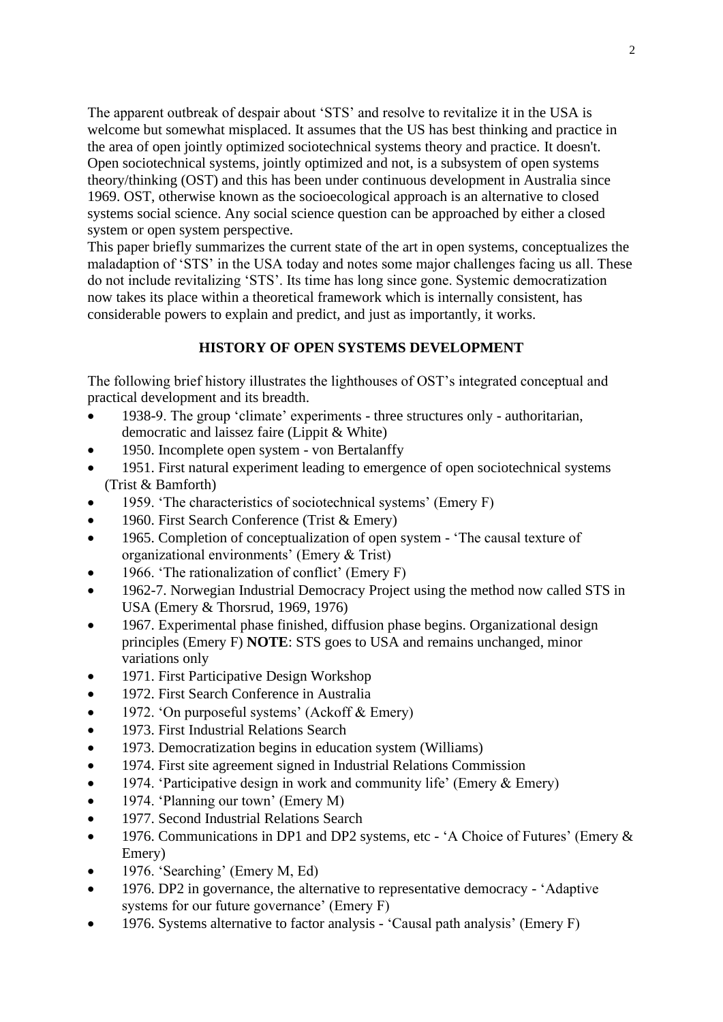The apparent outbreak of despair about 'STS' and resolve to revitalize it in the USA is welcome but somewhat misplaced. It assumes that the US has best thinking and practice in the area of open jointly optimized sociotechnical systems theory and practice. It doesn't. Open sociotechnical systems, jointly optimized and not, is a subsystem of open systems theory/thinking (OST) and this has been under continuous development in Australia since 1969. OST, otherwise known as the socioecological approach is an alternative to closed systems social science. Any social science question can be approached by either a closed system or open system perspective.

This paper briefly summarizes the current state of the art in open systems, conceptualizes the maladaption of 'STS' in the USA today and notes some major challenges facing us all. These do not include revitalizing 'STS'. Its time has long since gone. Systemic democratization now takes its place within a theoretical framework which is internally consistent, has considerable powers to explain and predict, and just as importantly, it works.

# **HISTORY OF OPEN SYSTEMS DEVELOPMENT**

The following brief history illustrates the lighthouses of OST's integrated conceptual and practical development and its breadth.

- 1938-9. The group 'climate' experiments three structures only authoritarian, democratic and laissez faire (Lippit & White)
- 1950. Incomplete open system von Bertalanffy
- 1951. First natural experiment leading to emergence of open sociotechnical systems (Trist & Bamforth)
- 1959. 'The characteristics of sociotechnical systems' (Emery F)
- 1960. First Search Conference (Trist & Emery)
- 1965. Completion of conceptualization of open system 'The causal texture of organizational environments' (Emery & Trist)
- 1966. 'The rationalization of conflict' (Emery F)
- 1962-7. Norwegian Industrial Democracy Project using the method now called STS in USA (Emery & Thorsrud, 1969, 1976)
- 1967. Experimental phase finished, diffusion phase begins. Organizational design principles (Emery F) **NOTE**: STS goes to USA and remains unchanged, minor variations only
- 1971. First Participative Design Workshop
- 1972. First Search Conference in Australia
- 1972. 'On purposeful systems' (Ackoff & Emery)
- 1973. First Industrial Relations Search
- 1973. Democratization begins in education system (Williams)
- 1974. First site agreement signed in Industrial Relations Commission
- 1974. 'Participative design in work and community life' (Emery & Emery)
- 1974. 'Planning our town' (Emery M)
- 1977. Second Industrial Relations Search
- 1976. Communications in DP1 and DP2 systems, etc 'A Choice of Futures' (Emery & Emery)
- 1976. 'Searching' (Emery M, Ed)
- 1976. DP2 in governance, the alternative to representative democracy 'Adaptive systems for our future governance' (Emery F)
- 1976. Systems alternative to factor analysis 'Causal path analysis' (Emery F)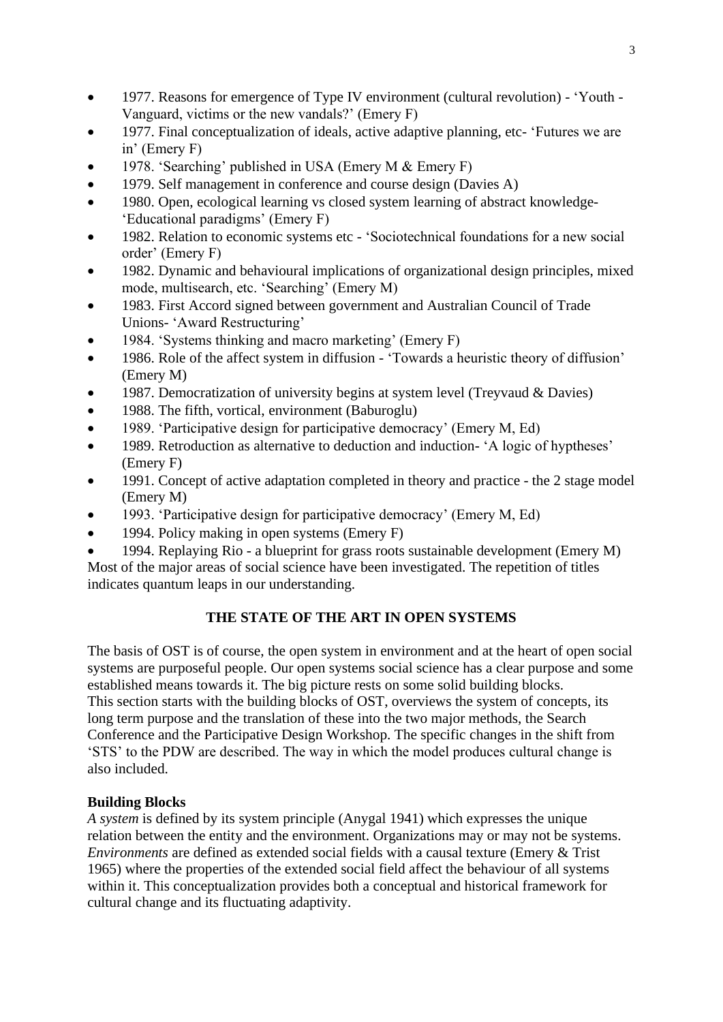- 1977. Reasons for emergence of Type IV environment (cultural revolution) 'Youth -Vanguard, victims or the new vandals?' (Emery F)
- 1977. Final conceptualization of ideals, active adaptive planning, etc- 'Futures we are in' (Emery F)
- 1978. 'Searching' published in USA (Emery M & Emery F)
- 1979. Self management in conference and course design (Davies A)
- 1980. Open, ecological learning vs closed system learning of abstract knowledge- 'Educational paradigms' (Emery F)
- 1982. Relation to economic systems etc 'Sociotechnical foundations for a new social order' (Emery F)
- 1982. Dynamic and behavioural implications of organizational design principles, mixed mode, multisearch, etc. 'Searching' (Emery M)
- 1983. First Accord signed between government and Australian Council of Trade Unions- 'Award Restructuring'
- 1984. 'Systems thinking and macro marketing' (Emery F)
- 1986. Role of the affect system in diffusion 'Towards a heuristic theory of diffusion' (Emery M)
- 1987. Democratization of university begins at system level (Treyvaud & Davies)
- 1988. The fifth, vortical, environment (Baburoglu)
- 1989. 'Participative design for participative democracy' (Emery M, Ed)
- 1989. Retroduction as alternative to deduction and induction- 'A logic of hyptheses' (Emery F)
- 1991. Concept of active adaptation completed in theory and practice the 2 stage model (Emery M)
- 1993. 'Participative design for participative democracy' (Emery M, Ed)
- 1994. Policy making in open systems (Emery F)
- 1994. Replaying Rio a blueprint for grass roots sustainable development (Emery M)

Most of the major areas of social science have been investigated. The repetition of titles indicates quantum leaps in our understanding.

# **THE STATE OF THE ART IN OPEN SYSTEMS**

The basis of OST is of course, the open system in environment and at the heart of open social systems are purposeful people. Our open systems social science has a clear purpose and some established means towards it. The big picture rests on some solid building blocks. This section starts with the building blocks of OST, overviews the system of concepts, its long term purpose and the translation of these into the two major methods, the Search Conference and the Participative Design Workshop. The specific changes in the shift from 'STS' to the PDW are described. The way in which the model produces cultural change is also included.

# **Building Blocks**

*A system* is defined by its system principle (Anygal 1941) which expresses the unique relation between the entity and the environment. Organizations may or may not be systems. *Environments* are defined as extended social fields with a causal texture (Emery & Trist 1965) where the properties of the extended social field affect the behaviour of all systems within it. This conceptualization provides both a conceptual and historical framework for cultural change and its fluctuating adaptivity.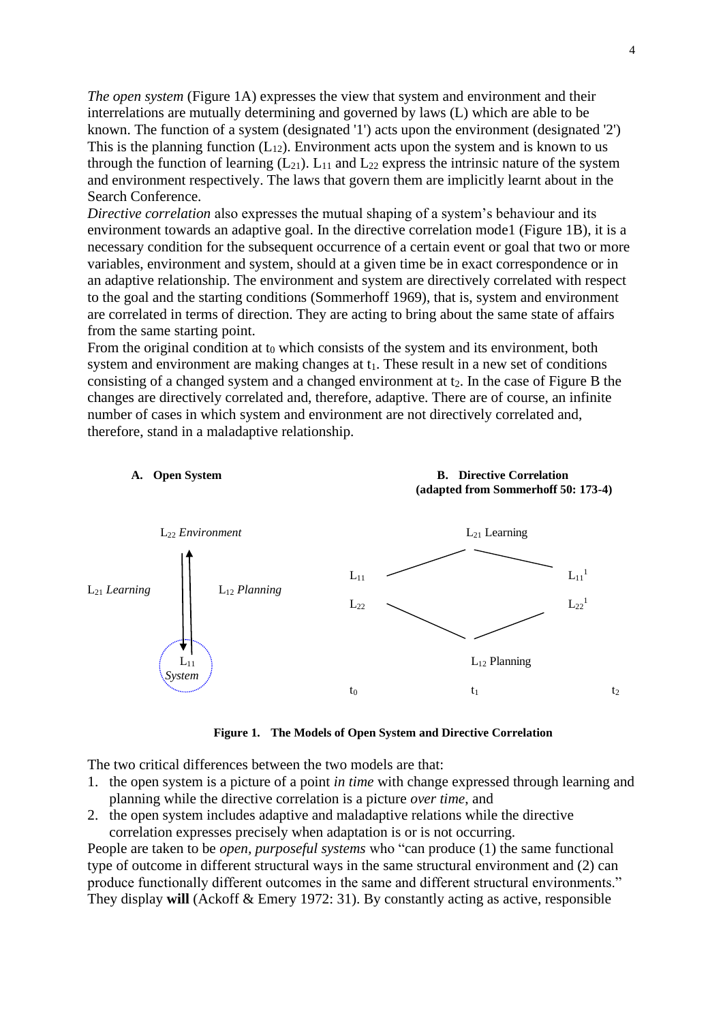*The open system* (Figure 1A) expresses the view that system and environment and their interrelations are mutually determining and governed by laws (L) which are able to be known. The function of a system (designated '1') acts upon the environment (designated '2') This is the planning function  $(L_{12})$ . Environment acts upon the system and is known to us through the function of learning  $(L_{21})$ .  $L_{11}$  and  $L_{22}$  express the intrinsic nature of the system and environment respectively. The laws that govern them are implicitly learnt about in the Search Conference.

*Directive correlation* also expresses the mutual shaping of a system's behaviour and its environment towards an adaptive goal. In the directive correlation mode1 (Figure 1B), it is a necessary condition for the subsequent occurrence of a certain event or goal that two or more variables, environment and system, should at a given time be in exact correspondence or in an adaptive relationship. The environment and system are directively correlated with respect to the goal and the starting conditions (Sommerhoff 1969), that is, system and environment are correlated in terms of direction. They are acting to bring about the same state of affairs from the same starting point.

From the original condition at  $t_0$  which consists of the system and its environment, both system and environment are making changes at  $t_1$ . These result in a new set of conditions consisting of a changed system and a changed environment at  $t_2$ . In the case of Figure B the changes are directively correlated and, therefore, adaptive. There are of course, an infinite number of cases in which system and environment are not directively correlated and, therefore, stand in a maladaptive relationship.



**Figure 1. The Models of Open System and Directive Correlation**

The two critical differences between the two models are that:

- 1. the open system is a picture of a point *in time* with change expressed through learning and planning while the directive correlation is a picture *over time*, and
- 2. the open system includes adaptive and maladaptive relations while the directive correlation expresses precisely when adaptation is or is not occurring.

People are taken to be *open, purposeful systems* who "can produce (1) the same functional type of outcome in different structural ways in the same structural environment and (2) can produce functionally different outcomes in the same and different structural environments." They display **will** (Ackoff & Emery 1972: 31). By constantly acting as active, responsible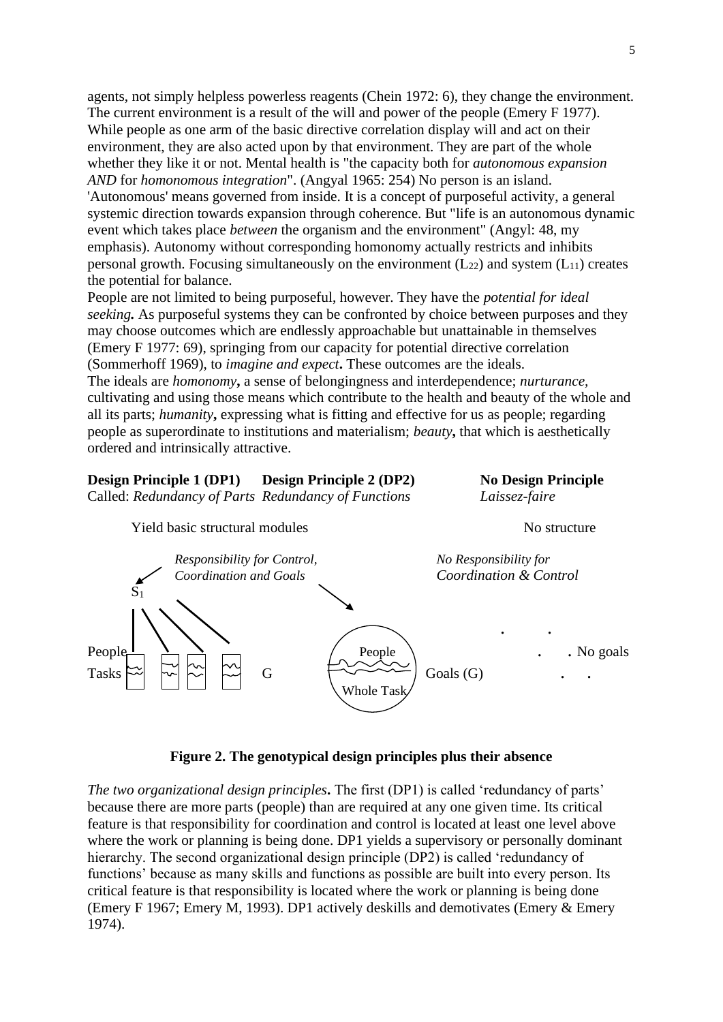agents, not simply helpless powerless reagents (Chein 1972: 6), they change the environment. The current environment is a result of the will and power of the people (Emery F 1977). While people as one arm of the basic directive correlation display will and act on their environment, they are also acted upon by that environment. They are part of the whole whether they like it or not. Mental health is "the capacity both for *autonomous expansion AND* for *homonomous integration*". (Angyal 1965: 254) No person is an island. 'Autonomous' means governed from inside. It is a concept of purposeful activity, a general systemic direction towards expansion through coherence. But "life is an autonomous dynamic event which takes place *between* the organism and the environment" (Angyl: 48, my emphasis). Autonomy without corresponding homonomy actually restricts and inhibits personal growth. Focusing simultaneously on the environment  $(L_{22})$  and system  $(L_{11})$  creates the potential for balance.

People are not limited to being purposeful, however. They have the *potential for ideal seeking.* As purposeful systems they can be confronted by choice between purposes and they may choose outcomes which are endlessly approachable but unattainable in themselves (Emery F 1977: 69), springing from our capacity for potential directive correlation (Sommerhoff 1969), to *imagine and expect***.** These outcomes are the ideals. The ideals are *homonomy***,** a sense of belongingness and interdependence; *nurturance,* cultivating and using those means which contribute to the health and beauty of the whole and

all its parts; *humanity*, expressing what is fitting and effective for us as people; regarding people as superordinate to institutions and materialism; *beauty***,** that which is aesthetically ordered and intrinsically attractive.

#### **Design Principle 1 (DP1) Design Principle 2 (DP2) No Design Principle**

Called: *Redundancy of Parts Redundancy of Functions Laissez-faire*



### **Figure 2. The genotypical design principles plus their absence**

*The two organizational design principles***.** The first (DP1) is called 'redundancy of parts' because there are more parts (people) than are required at any one given time. Its critical feature is that responsibility for coordination and control is located at least one level above where the work or planning is being done. DP1 yields a supervisory or personally dominant hierarchy. The second organizational design principle (DP2) is called 'redundancy of functions' because as many skills and functions as possible are built into every person. Its critical feature is that responsibility is located where the work or planning is being done (Emery F 1967; Emery M, 1993). DP1 actively deskills and demotivates (Emery & Emery 1974).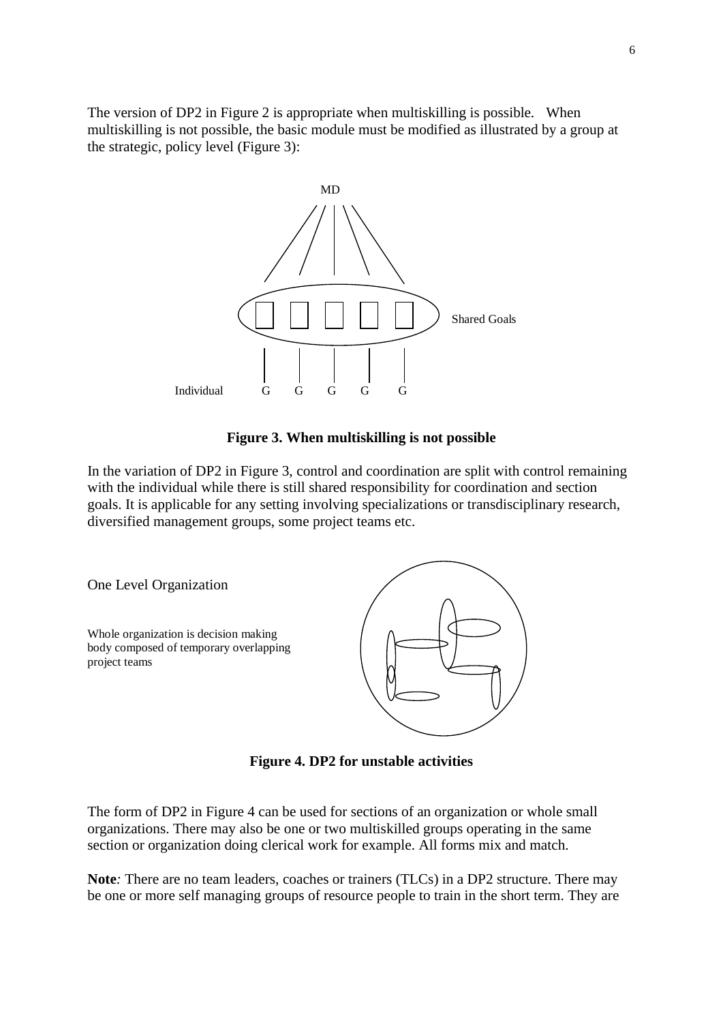The version of DP2 in Figure 2 is appropriate when multiskilling is possible. When multiskilling is not possible, the basic module must be modified as illustrated by a group at the strategic, policy level (Figure 3):



### **Figure 3. When multiskilling is not possible**

In the variation of DP2 in Figure 3, control and coordination are split with control remaining with the individual while there is still shared responsibility for coordination and section goals. It is applicable for any setting involving specializations or transdisciplinary research, diversified management groups, some project teams etc.



**Figure 4. DP2 for unstable activities**

The form of DP2 in Figure 4 can be used for sections of an organization or whole small organizations. There may also be one or two multiskilled groups operating in the same section or organization doing clerical work for example. All forms mix and match.

Note: There are no team leaders, coaches or trainers (TLCs) in a DP2 structure. There may be one or more self managing groups of resource people to train in the short term. They are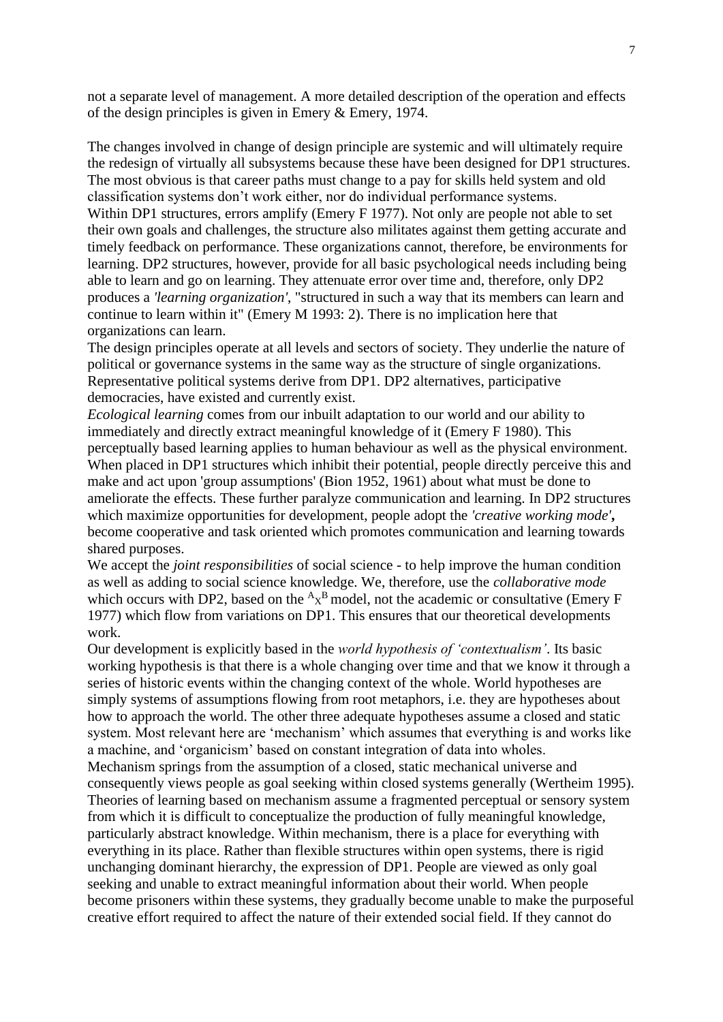not a separate level of management. A more detailed description of the operation and effects of the design principles is given in Emery & Emery, 1974.

The changes involved in change of design principle are systemic and will ultimately require the redesign of virtually all subsystems because these have been designed for DP1 structures. The most obvious is that career paths must change to a pay for skills held system and old classification systems don't work either, nor do individual performance systems.

Within DP1 structures, errors amplify (Emery F 1977). Not only are people not able to set their own goals and challenges, the structure also militates against them getting accurate and timely feedback on performance. These organizations cannot, therefore, be environments for learning. DP2 structures, however, provide for all basic psychological needs including being able to learn and go on learning. They attenuate error over time and, therefore, only DP2 produces a *'learning organization'*, "structured in such a way that its members can learn and continue to learn within it" (Emery M 1993: 2). There is no implication here that organizations can learn.

The design principles operate at all levels and sectors of society. They underlie the nature of political or governance systems in the same way as the structure of single organizations. Representative political systems derive from DP1. DP2 alternatives, participative democracies, have existed and currently exist.

*Ecological learning* comes from our inbuilt adaptation to our world and our ability to immediately and directly extract meaningful knowledge of it (Emery F 1980). This perceptually based learning applies to human behaviour as well as the physical environment. When placed in DP1 structures which inhibit their potential, people directly perceive this and make and act upon 'group assumptions' (Bion 1952, 1961) about what must be done to ameliorate the effects. These further paralyze communication and learning. In DP2 structures which maximize opportunities for development, people adopt the *'creative working mode'***,** become cooperative and task oriented which promotes communication and learning towards shared purposes.

We accept the *joint responsibilities* of social science - to help improve the human condition as well as adding to social science knowledge. We, therefore, use the *collaborative mode* which occurs with DP2, based on the  ${}^{A}x^{B}$  model, not the academic or consultative (Emery F 1977) which flow from variations on DP1. This ensures that our theoretical developments work.

Our development is explicitly based in the *world hypothesis of 'contextualism'*. Its basic working hypothesis is that there is a whole changing over time and that we know it through a series of historic events within the changing context of the whole. World hypotheses are simply systems of assumptions flowing from root metaphors, i.e. they are hypotheses about how to approach the world. The other three adequate hypotheses assume a closed and static system. Most relevant here are 'mechanism' which assumes that everything is and works like a machine, and 'organicism' based on constant integration of data into wholes. Mechanism springs from the assumption of a closed, static mechanical universe and consequently views people as goal seeking within closed systems generally (Wertheim 1995). Theories of learning based on mechanism assume a fragmented perceptual or sensory system from which it is difficult to conceptualize the production of fully meaningful knowledge, particularly abstract knowledge. Within mechanism, there is a place for everything with everything in its place. Rather than flexible structures within open systems, there is rigid unchanging dominant hierarchy, the expression of DP1. People are viewed as only goal seeking and unable to extract meaningful information about their world. When people become prisoners within these systems, they gradually become unable to make the purposeful creative effort required to affect the nature of their extended social field. If they cannot do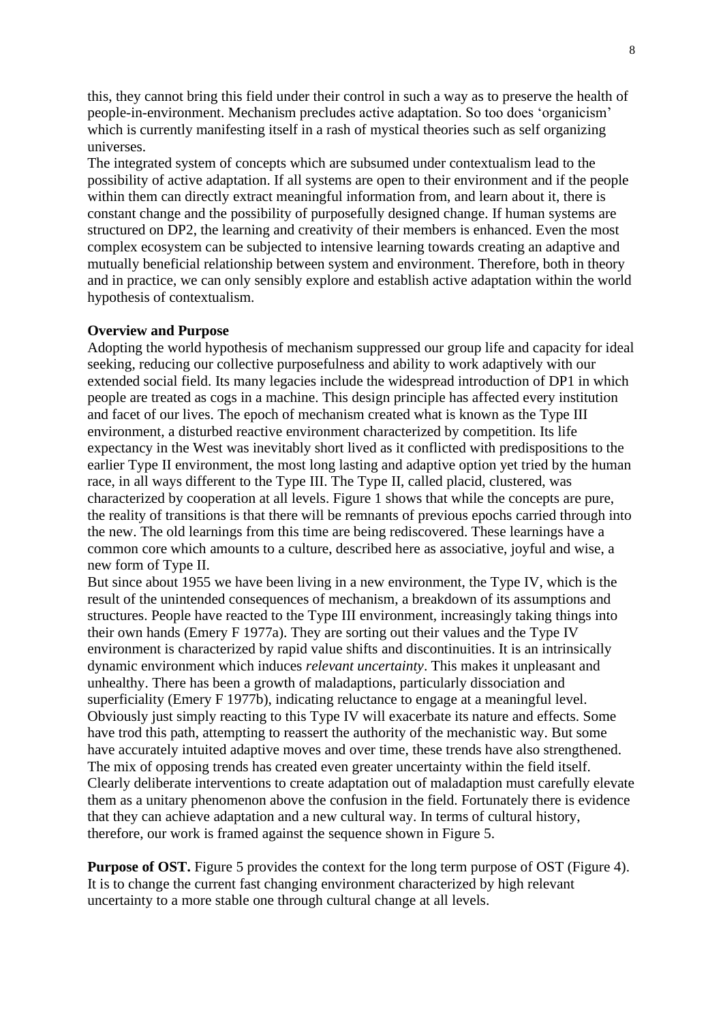this, they cannot bring this field under their control in such a way as to preserve the health of people-in-environment. Mechanism precludes active adaptation. So too does 'organicism' which is currently manifesting itself in a rash of mystical theories such as self organizing universes.

The integrated system of concepts which are subsumed under contextualism lead to the possibility of active adaptation. If all systems are open to their environment and if the people within them can directly extract meaningful information from, and learn about it, there is constant change and the possibility of purposefully designed change. If human systems are structured on DP2, the learning and creativity of their members is enhanced. Even the most complex ecosystem can be subjected to intensive learning towards creating an adaptive and mutually beneficial relationship between system and environment. Therefore, both in theory and in practice, we can only sensibly explore and establish active adaptation within the world hypothesis of contextualism.

#### **Overview and Purpose**

Adopting the world hypothesis of mechanism suppressed our group life and capacity for ideal seeking, reducing our collective purposefulness and ability to work adaptively with our extended social field. Its many legacies include the widespread introduction of DP1 in which people are treated as cogs in a machine. This design principle has affected every institution and facet of our lives. The epoch of mechanism created what is known as the Type III environment, a disturbed reactive environment characterized by competition. Its life expectancy in the West was inevitably short lived as it conflicted with predispositions to the earlier Type II environment, the most long lasting and adaptive option yet tried by the human race, in all ways different to the Type III. The Type II, called placid, clustered, was characterized by cooperation at all levels. Figure 1 shows that while the concepts are pure, the reality of transitions is that there will be remnants of previous epochs carried through into the new. The old learnings from this time are being rediscovered. These learnings have a common core which amounts to a culture, described here as associative, joyful and wise, a new form of Type II.

But since about 1955 we have been living in a new environment, the Type IV, which is the result of the unintended consequences of mechanism, a breakdown of its assumptions and structures. People have reacted to the Type III environment, increasingly taking things into their own hands (Emery F 1977a). They are sorting out their values and the Type IV environment is characterized by rapid value shifts and discontinuities. It is an intrinsically dynamic environment which induces *relevant uncertainty*. This makes it unpleasant and unhealthy. There has been a growth of maladaptions, particularly dissociation and superficiality (Emery F 1977b), indicating reluctance to engage at a meaningful level. Obviously just simply reacting to this Type IV will exacerbate its nature and effects. Some have trod this path, attempting to reassert the authority of the mechanistic way. But some have accurately intuited adaptive moves and over time, these trends have also strengthened. The mix of opposing trends has created even greater uncertainty within the field itself. Clearly deliberate interventions to create adaptation out of maladaption must carefully elevate them as a unitary phenomenon above the confusion in the field. Fortunately there is evidence that they can achieve adaptation and a new cultural way. In terms of cultural history, therefore, our work is framed against the sequence shown in Figure 5.

**Purpose of OST.** Figure 5 provides the context for the long term purpose of OST (Figure 4). It is to change the current fast changing environment characterized by high relevant uncertainty to a more stable one through cultural change at all levels.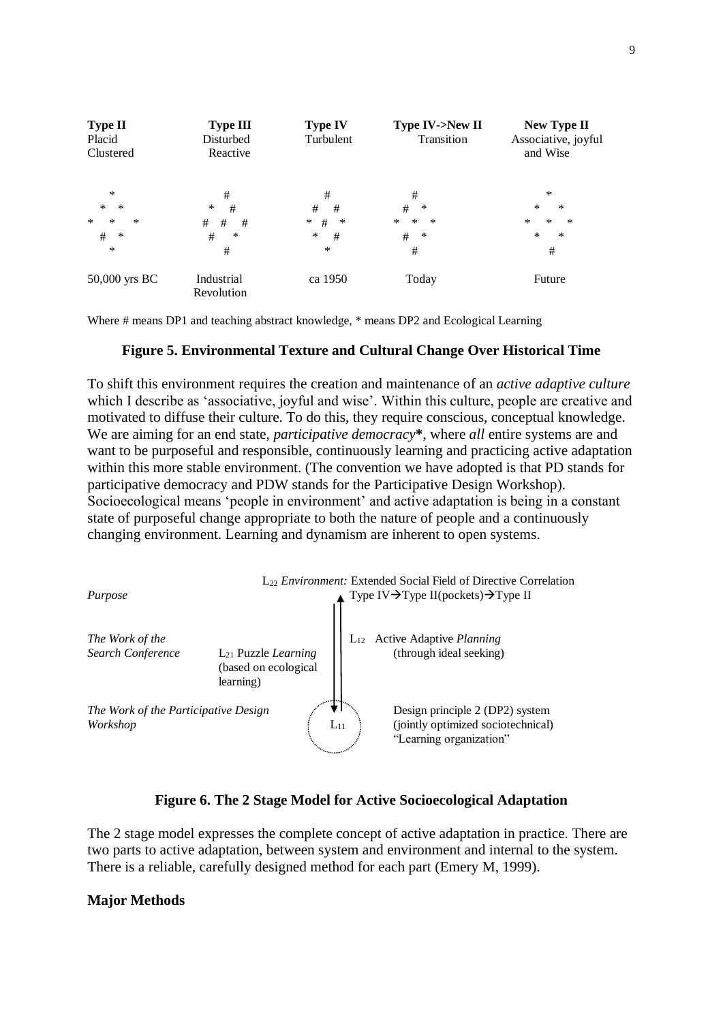

Where # means DP1 and teaching abstract knowledge, \* means DP2 and Ecological Learning

#### **Figure 5. Environmental Texture and Cultural Change Over Historical Time**

To shift this environment requires the creation and maintenance of an *active adaptive culture* which I describe as 'associative, joyful and wise'. Within this culture, people are creative and motivated to diffuse their culture. To do this, they require conscious, conceptual knowledge. We are aiming for an end state, *participative democracy***\***, where *all* entire systems are and want to be purposeful and responsible, continuously learning and practicing active adaptation within this more stable environment. (The convention we have adopted is that PD stands for participative democracy and PDW stands for the Participative Design Workshop). Socioecological means 'people in environment' and active adaptation is being in a constant state of purposeful change appropriate to both the nature of people and a continuously changing environment. Learning and dynamism are inherent to open systems.



### **Figure 6. The 2 Stage Model for Active Socioecological Adaptation**

The 2 stage model expresses the complete concept of active adaptation in practice. There are two parts to active adaptation, between system and environment and internal to the system. There is a reliable, carefully designed method for each part (Emery M, 1999).

#### **Major Methods**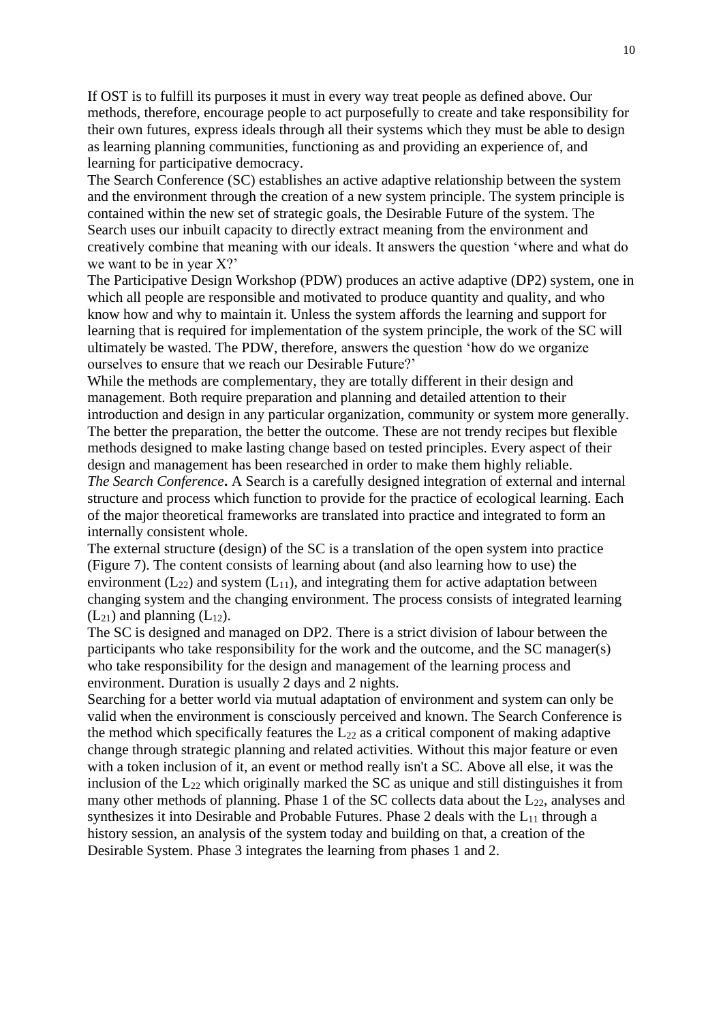If OST is to fulfill its purposes it must in every way treat people as defined above. Our methods, therefore, encourage people to act purposefully to create and take responsibility for their own futures, express ideals through all their systems which they must be able to design as learning planning communities, functioning as and providing an experience of, and learning for participative democracy.

The Search Conference (SC) establishes an active adaptive relationship between the system and the environment through the creation of a new system principle. The system principle is contained within the new set of strategic goals, the Desirable Future of the system. The Search uses our inbuilt capacity to directly extract meaning from the environment and creatively combine that meaning with our ideals. It answers the question 'where and what do we want to be in year X?'

The Participative Design Workshop (PDW) produces an active adaptive (DP2) system, one in which all people are responsible and motivated to produce quantity and quality, and who know how and why to maintain it. Unless the system affords the learning and support for learning that is required for implementation of the system principle, the work of the SC will ultimately be wasted. The PDW, therefore, answers the question 'how do we organize ourselves to ensure that we reach our Desirable Future?'

While the methods are complementary, they are totally different in their design and management. Both require preparation and planning and detailed attention to their introduction and design in any particular organization, community or system more generally. The better the preparation, the better the outcome. These are not trendy recipes but flexible methods designed to make lasting change based on tested principles. Every aspect of their design and management has been researched in order to make them highly reliable. *The Search Conference***.** A Search is a carefully designed integration of external and internal structure and process which function to provide for the practice of ecological learning. Each of the major theoretical frameworks are translated into practice and integrated to form an internally consistent whole.

The external structure (design) of the SC is a translation of the open system into practice (Figure 7). The content consists of learning about (and also learning how to use) the environment ( $L_{22}$ ) and system ( $L_{11}$ ), and integrating them for active adaptation between changing system and the changing environment. The process consists of integrated learning  $(L_{21})$  and planning  $(L_{12})$ .

The SC is designed and managed on DP2. There is a strict division of labour between the participants who take responsibility for the work and the outcome, and the SC manager(s) who take responsibility for the design and management of the learning process and environment. Duration is usually 2 days and 2 nights.

Searching for a better world via mutual adaptation of environment and system can only be valid when the environment is consciously perceived and known. The Search Conference is the method which specifically features the  $L_{22}$  as a critical component of making adaptive change through strategic planning and related activities. Without this major feature or even with a token inclusion of it, an event or method really isn't a SC. Above all else, it was the inclusion of the  $L_{22}$  which originally marked the SC as unique and still distinguishes it from many other methods of planning. Phase 1 of the SC collects data about the  $L_{22}$ , analyses and synthesizes it into Desirable and Probable Futures. Phase 2 deals with the  $L_{11}$  through a history session, an analysis of the system today and building on that, a creation of the Desirable System. Phase 3 integrates the learning from phases 1 and 2.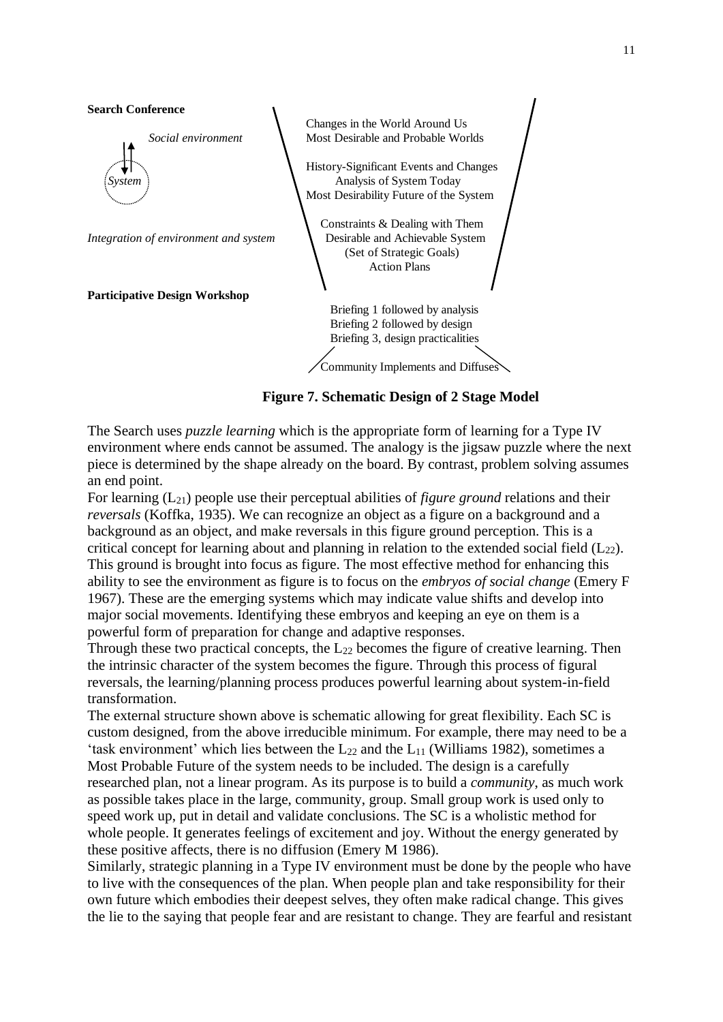

**Figure 7. Schematic Design of 2 Stage Model**

The Search uses *puzzle learning* which is the appropriate form of learning for a Type IV environment where ends cannot be assumed. The analogy is the jigsaw puzzle where the next piece is determined by the shape already on the board. By contrast, problem solving assumes an end point.

For learning (L21) people use their perceptual abilities of *figure ground* relations and their *reversals* (Koffka, 1935). We can recognize an object as a figure on a background and a background as an object, and make reversals in this figure ground perception. This is a critical concept for learning about and planning in relation to the extended social field  $(L_{22})$ . This ground is brought into focus as figure. The most effective method for enhancing this ability to see the environment as figure is to focus on the *embryos of social change* (Emery F 1967). These are the emerging systems which may indicate value shifts and develop into major social movements. Identifying these embryos and keeping an eye on them is a powerful form of preparation for change and adaptive responses.

Through these two practical concepts, the  $L_{22}$  becomes the figure of creative learning. Then the intrinsic character of the system becomes the figure. Through this process of figural reversals, the learning/planning process produces powerful learning about system-in-field transformation.

The external structure shown above is schematic allowing for great flexibility. Each SC is custom designed, from the above irreducible minimum. For example, there may need to be a 'task environment' which lies between the  $L_{22}$  and the  $L_{11}$  (Williams 1982), sometimes a Most Probable Future of the system needs to be included. The design is a carefully researched plan, not a linear program. As its purpose is to build a *community*, as much work as possible takes place in the large, community, group. Small group work is used only to speed work up, put in detail and validate conclusions. The SC is a wholistic method for whole people. It generates feelings of excitement and joy. Without the energy generated by these positive affects, there is no diffusion (Emery M 1986).

Similarly, strategic planning in a Type IV environment must be done by the people who have to live with the consequences of the plan. When people plan and take responsibility for their own future which embodies their deepest selves, they often make radical change. This gives the lie to the saying that people fear and are resistant to change. They are fearful and resistant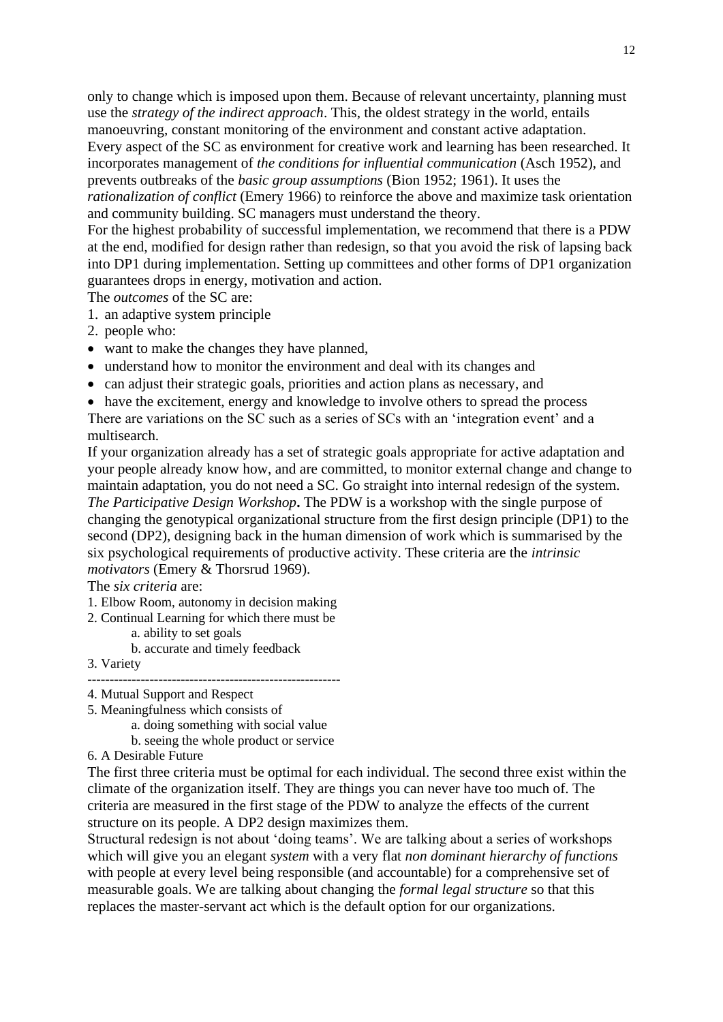only to change which is imposed upon them. Because of relevant uncertainty, planning must use the *strategy of the indirect approach*. This, the oldest strategy in the world, entails manoeuvring, constant monitoring of the environment and constant active adaptation. Every aspect of the SC as environment for creative work and learning has been researched. It incorporates management of *the conditions for influential communication* (Asch 1952), and prevents outbreaks of the *basic group assumptions* (Bion 1952; 1961). It uses the *rationalization of conflict* (Emery 1966) to reinforce the above and maximize task orientation

and community building. SC managers must understand the theory.

For the highest probability of successful implementation, we recommend that there is a PDW at the end, modified for design rather than redesign, so that you avoid the risk of lapsing back into DP1 during implementation. Setting up committees and other forms of DP1 organization guarantees drops in energy, motivation and action.

The *outcomes* of the SC are:

- 1. an adaptive system principle
- 2. people who:
- want to make the changes they have planned,
- understand how to monitor the environment and deal with its changes and
- can adjust their strategic goals, priorities and action plans as necessary, and

• have the excitement, energy and knowledge to involve others to spread the process There are variations on the SC such as a series of SCs with an 'integration event' and a multisearch.

If your organization already has a set of strategic goals appropriate for active adaptation and your people already know how, and are committed, to monitor external change and change to maintain adaptation, you do not need a SC. Go straight into internal redesign of the system. *The Participative Design Workshop***.** The PDW is a workshop with the single purpose of changing the genotypical organizational structure from the first design principle (DP1) to the second (DP2), designing back in the human dimension of work which is summarised by the six psychological requirements of productive activity. These criteria are the *intrinsic motivators* (Emery & Thorsrud 1969).

The *six criteria* are:

- 1. Elbow Room, autonomy in decision making
- 2. Continual Learning for which there must be
	- a. ability to set goals
		- b. accurate and timely feedback
- 3. Variety
- --------------------------------------------------------- 4. Mutual Support and Respect
- 5. Meaningfulness which consists of
	- a. doing something with social value
	- b. seeing the whole product or service
- 6. A Desirable Future

The first three criteria must be optimal for each individual. The second three exist within the climate of the organization itself. They are things you can never have too much of. The criteria are measured in the first stage of the PDW to analyze the effects of the current structure on its people. A DP2 design maximizes them.

Structural redesign is not about 'doing teams'. We are talking about a series of workshops which will give you an elegant *system* with a very flat *non dominant hierarchy of functions* with people at every level being responsible (and accountable) for a comprehensive set of measurable goals. We are talking about changing the *formal legal structure* so that this replaces the master-servant act which is the default option for our organizations.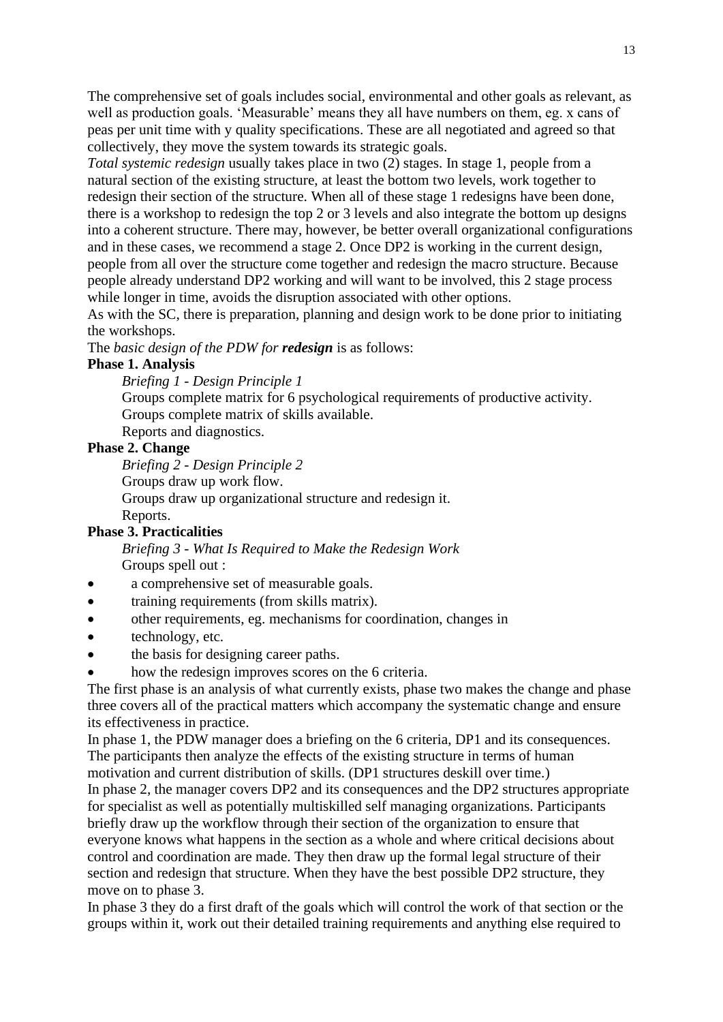The comprehensive set of goals includes social, environmental and other goals as relevant, as well as production goals. 'Measurable' means they all have numbers on them, eg. x cans of peas per unit time with y quality specifications. These are all negotiated and agreed so that collectively, they move the system towards its strategic goals.

*Total systemic redesign* usually takes place in two (2) stages. In stage 1, people from a natural section of the existing structure, at least the bottom two levels, work together to redesign their section of the structure. When all of these stage 1 redesigns have been done, there is a workshop to redesign the top 2 or 3 levels and also integrate the bottom up designs into a coherent structure. There may, however, be better overall organizational configurations and in these cases, we recommend a stage 2. Once DP2 is working in the current design, people from all over the structure come together and redesign the macro structure. Because people already understand DP2 working and will want to be involved, this 2 stage process while longer in time, avoids the disruption associated with other options.

As with the SC, there is preparation, planning and design work to be done prior to initiating the workshops.

The *basic design of the PDW for redesign* is as follows:

#### **Phase 1. Analysis**

*Briefing 1 - Design Principle 1*

Groups complete matrix for 6 psychological requirements of productive activity. Groups complete matrix of skills available.

Reports and diagnostics.

### **Phase 2. Change**

*Briefing 2 - Design Principle 2*

Groups draw up work flow.

Groups draw up organizational structure and redesign it.

Reports.

## **Phase 3. Practicalities**

*Briefing 3 - What Is Required to Make the Redesign Work* Groups spell out :

- a comprehensive set of measurable goals.
- training requirements (from skills matrix).
- other requirements, eg. mechanisms for coordination, changes in
- technology, etc.
- the basis for designing career paths.
- how the redesign improves scores on the 6 criteria.

The first phase is an analysis of what currently exists, phase two makes the change and phase three covers all of the practical matters which accompany the systematic change and ensure its effectiveness in practice.

In phase 1, the PDW manager does a briefing on the 6 criteria, DP1 and its consequences. The participants then analyze the effects of the existing structure in terms of human motivation and current distribution of skills. (DP1 structures deskill over time.) In phase 2, the manager covers DP2 and its consequences and the DP2 structures appropriate for specialist as well as potentially multiskilled self managing organizations. Participants briefly draw up the workflow through their section of the organization to ensure that everyone knows what happens in the section as a whole and where critical decisions about control and coordination are made. They then draw up the formal legal structure of their section and redesign that structure. When they have the best possible DP2 structure, they move on to phase 3.

In phase 3 they do a first draft of the goals which will control the work of that section or the groups within it, work out their detailed training requirements and anything else required to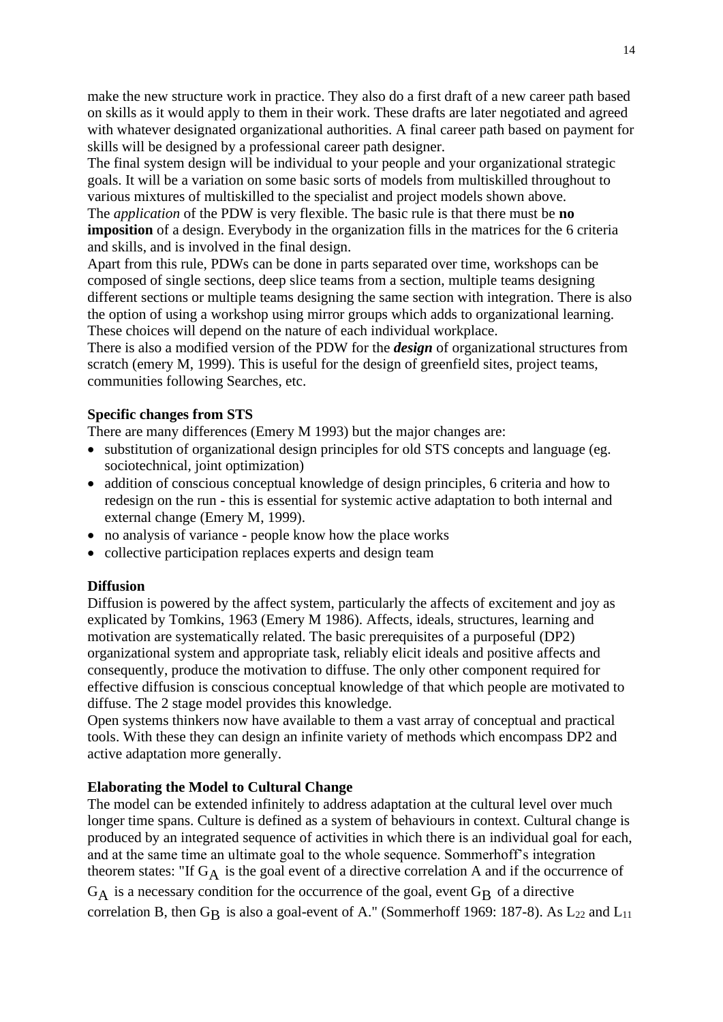make the new structure work in practice. They also do a first draft of a new career path based on skills as it would apply to them in their work. These drafts are later negotiated and agreed with whatever designated organizational authorities. A final career path based on payment for skills will be designed by a professional career path designer.

The final system design will be individual to your people and your organizational strategic goals. It will be a variation on some basic sorts of models from multiskilled throughout to various mixtures of multiskilled to the specialist and project models shown above.

The *application* of the PDW is very flexible. The basic rule is that there must be **no imposition** of a design. Everybody in the organization fills in the matrices for the 6 criteria and skills, and is involved in the final design.

Apart from this rule, PDWs can be done in parts separated over time, workshops can be composed of single sections, deep slice teams from a section, multiple teams designing different sections or multiple teams designing the same section with integration. There is also the option of using a workshop using mirror groups which adds to organizational learning. These choices will depend on the nature of each individual workplace.

There is also a modified version of the PDW for the *design* of organizational structures from scratch (emery M, 1999). This is useful for the design of greenfield sites, project teams, communities following Searches, etc.

### **Specific changes from STS**

There are many differences (Emery M 1993) but the major changes are:

- substitution of organizational design principles for old STS concepts and language (eg. sociotechnical, joint optimization)
- addition of conscious conceptual knowledge of design principles, 6 criteria and how to redesign on the run - this is essential for systemic active adaptation to both internal and external change (Emery M, 1999).
- no analysis of variance people know how the place works
- collective participation replaces experts and design team

#### **Diffusion**

Diffusion is powered by the affect system, particularly the affects of excitement and joy as explicated by Tomkins, 1963 (Emery M 1986). Affects, ideals, structures, learning and motivation are systematically related. The basic prerequisites of a purposeful (DP2) organizational system and appropriate task, reliably elicit ideals and positive affects and consequently, produce the motivation to diffuse. The only other component required for effective diffusion is conscious conceptual knowledge of that which people are motivated to diffuse. The 2 stage model provides this knowledge.

Open systems thinkers now have available to them a vast array of conceptual and practical tools. With these they can design an infinite variety of methods which encompass DP2 and active adaptation more generally.

#### **Elaborating the Model to Cultural Change**

The model can be extended infinitely to address adaptation at the cultural level over much longer time spans. Culture is defined as a system of behaviours in context. Cultural change is produced by an integrated sequence of activities in which there is an individual goal for each, and at the same time an ultimate goal to the whole sequence. Sommerhoff's integration theorem states: "If  $G_A$  is the goal event of a directive correlation A and if the occurrence of  $G_A$  is a necessary condition for the occurrence of the goal, event  $G_B$  of a directive correlation B, then  $G_B$  is also a goal-event of A." (Sommerhoff 1969: 187-8). As  $L_{22}$  and  $L_{11}$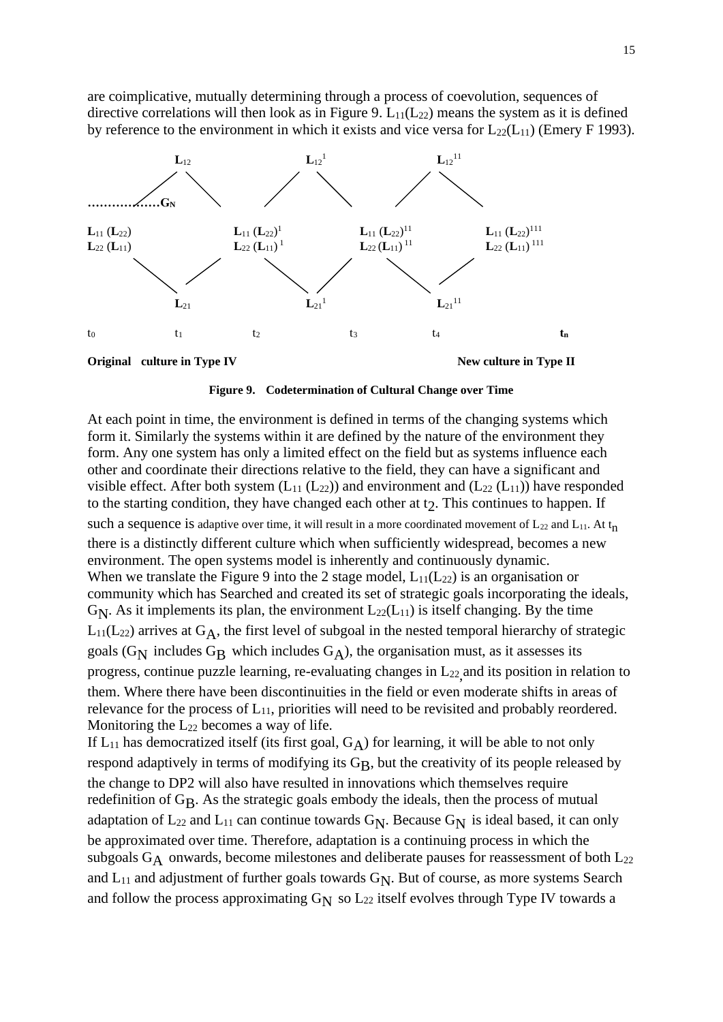are coimplicative, mutually determining through a process of coevolution, sequences of directive correlations will then look as in Figure 9.  $L_{11}(L_{22})$  means the system as it is defined by reference to the environment in which it exists and vice versa for  $L_{22}(L_{11})$  (Emery F 1993).





At each point in time, the environment is defined in terms of the changing systems which form it. Similarly the systems within it are defined by the nature of the environment they form. Any one system has only a limited effect on the field but as systems influence each other and coordinate their directions relative to the field, they can have a significant and visible effect. After both system  $(L_{11} (L_{22}))$  and environment and  $(L_{22} (L_{11}))$  have responded to the starting condition, they have changed each other at  $t<sub>2</sub>$ . This continues to happen. If such a sequence is adaptive over time, it will result in a more coordinated movement of  $L_{22}$  and  $L_{11}$ . At t<sub>n</sub> there is a distinctly different culture which when sufficiently widespread, becomes a new environment. The open systems model is inherently and continuously dynamic. When we translate the Figure 9 into the 2 stage model,  $L_{11}(L_{22})$  is an organisation or community which has Searched and created its set of strategic goals incorporating the ideals,  $G_N$ . As it implements its plan, the environment  $L_{22}(L_{11})$  is itself changing. By the time  $L_{11}(L_{22})$  arrives at  $G_A$ , the first level of subgoal in the nested temporal hierarchy of strategic goals ( $G_N$  includes  $G_B$  which includes  $G_A$ ), the organisation must, as it assesses its progress, continue puzzle learning, re-evaluating changes in L<sub>22</sub> and its position in relation to them. Where there have been discontinuities in the field or even moderate shifts in areas of relevance for the process of  $L_{11}$ , priorities will need to be revisited and probably reordered. Monitoring the  $L_{22}$  becomes a way of life. If  $L_{11}$  has democratized itself (its first goal,  $G_A$ ) for learning, it will be able to not only respond adaptively in terms of modifying its G<sub>B</sub>, but the creativity of its people released by the change to DP2 will also have resulted in innovations which themselves require redefinition of GB. As the strategic goals embody the ideals, then the process of mutual adaptation of  $L_{22}$  and  $L_{11}$  can continue towards  $G_N$ . Because  $G_N$  is ideal based, it can only be approximated over time. Therefore, adaptation is a continuing process in which the subgoals  $G_A$  onwards, become milestones and deliberate pauses for reassessment of both  $L_{22}$ and  $L_{11}$  and adjustment of further goals towards  $G_N$ . But of course, as more systems Search

and follow the process approximating  $G_N$  so  $L_{22}$  itself evolves through Type IV towards a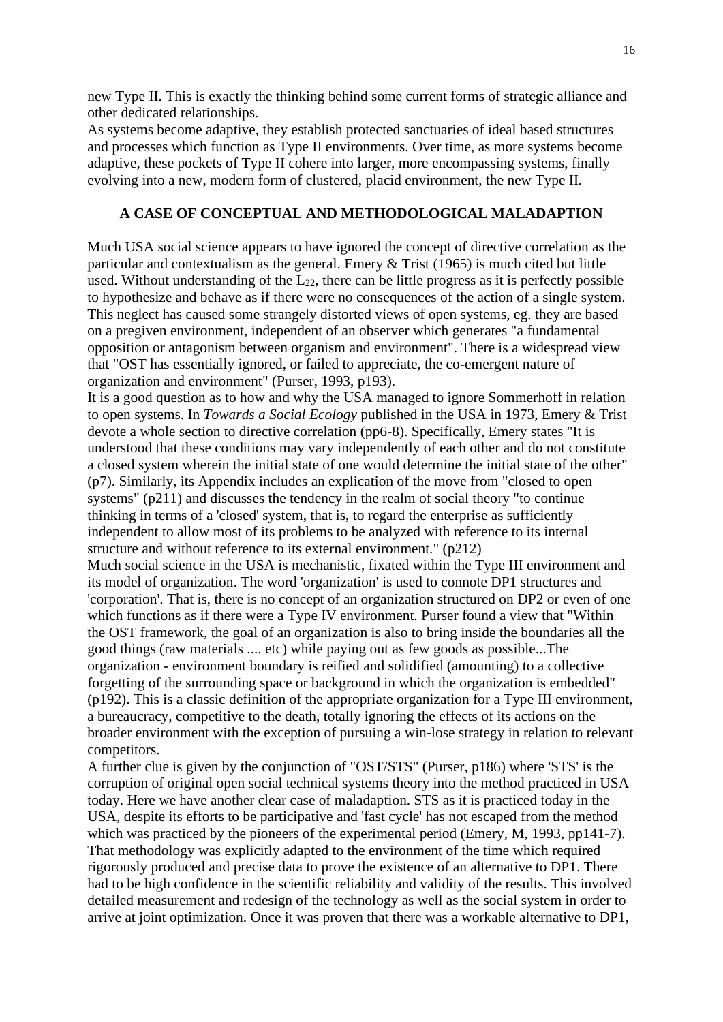new Type II. This is exactly the thinking behind some current forms of strategic alliance and other dedicated relationships.

As systems become adaptive, they establish protected sanctuaries of ideal based structures and processes which function as Type II environments. Over time, as more systems become adaptive, these pockets of Type II cohere into larger, more encompassing systems, finally evolving into a new, modern form of clustered, placid environment, the new Type II.

### **A CASE OF CONCEPTUAL AND METHODOLOGICAL MALADAPTION**

Much USA social science appears to have ignored the concept of directive correlation as the particular and contextualism as the general. Emery  $&$  Trist (1965) is much cited but little used. Without understanding of the  $L_{22}$ , there can be little progress as it is perfectly possible to hypothesize and behave as if there were no consequences of the action of a single system. This neglect has caused some strangely distorted views of open systems, eg. they are based on a pregiven environment, independent of an observer which generates "a fundamental opposition or antagonism between organism and environment". There is a widespread view that "OST has essentially ignored, or failed to appreciate, the co-emergent nature of organization and environment" (Purser, 1993, p193).

It is a good question as to how and why the USA managed to ignore Sommerhoff in relation to open systems. In *Towards a Social Ecology* published in the USA in 1973, Emery & Trist devote a whole section to directive correlation (pp6-8). Specifically, Emery states "It is understood that these conditions may vary independently of each other and do not constitute a closed system wherein the initial state of one would determine the initial state of the other" (p7). Similarly, its Appendix includes an explication of the move from "closed to open systems" (p211) and discusses the tendency in the realm of social theory "to continue thinking in terms of a 'closed' system, that is, to regard the enterprise as sufficiently independent to allow most of its problems to be analyzed with reference to its internal structure and without reference to its external environment." (p212)

Much social science in the USA is mechanistic, fixated within the Type III environment and its model of organization. The word 'organization' is used to connote DP1 structures and 'corporation'. That is, there is no concept of an organization structured on DP2 or even of one which functions as if there were a Type IV environment. Purser found a view that "Within the OST framework, the goal of an organization is also to bring inside the boundaries all the good things (raw materials .... etc) while paying out as few goods as possible...The organization - environment boundary is reified and solidified (amounting) to a collective forgetting of the surrounding space or background in which the organization is embedded" (p192). This is a classic definition of the appropriate organization for a Type III environment, a bureaucracy, competitive to the death, totally ignoring the effects of its actions on the broader environment with the exception of pursuing a win-lose strategy in relation to relevant competitors.

A further clue is given by the conjunction of "OST/STS" (Purser, p186) where 'STS' is the corruption of original open social technical systems theory into the method practiced in USA today. Here we have another clear case of maladaption. STS as it is practiced today in the USA, despite its efforts to be participative and 'fast cycle' has not escaped from the method which was practiced by the pioneers of the experimental period (Emery, M, 1993, pp141-7). That methodology was explicitly adapted to the environment of the time which required rigorously produced and precise data to prove the existence of an alternative to DP1. There had to be high confidence in the scientific reliability and validity of the results. This involved detailed measurement and redesign of the technology as well as the social system in order to arrive at joint optimization. Once it was proven that there was a workable alternative to DP1,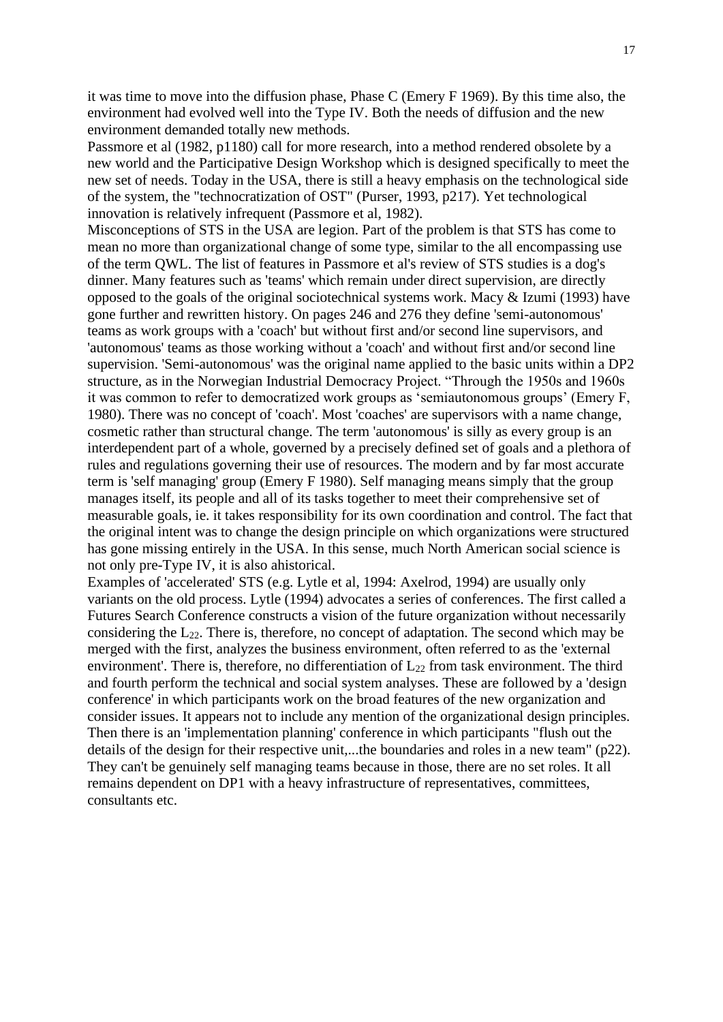it was time to move into the diffusion phase, Phase C (Emery F 1969). By this time also, the environment had evolved well into the Type IV. Both the needs of diffusion and the new environment demanded totally new methods.

Passmore et al (1982, p1180) call for more research, into a method rendered obsolete by a new world and the Participative Design Workshop which is designed specifically to meet the new set of needs. Today in the USA, there is still a heavy emphasis on the technological side of the system, the "technocratization of OST" (Purser, 1993, p217). Yet technological innovation is relatively infrequent (Passmore et al, 1982).

Misconceptions of STS in the USA are legion. Part of the problem is that STS has come to mean no more than organizational change of some type, similar to the all encompassing use of the term QWL. The list of features in Passmore et al's review of STS studies is a dog's dinner. Many features such as 'teams' which remain under direct supervision, are directly opposed to the goals of the original sociotechnical systems work. Macy & Izumi (1993) have gone further and rewritten history. On pages 246 and 276 they define 'semi-autonomous' teams as work groups with a 'coach' but without first and/or second line supervisors, and 'autonomous' teams as those working without a 'coach' and without first and/or second line supervision. 'Semi-autonomous' was the original name applied to the basic units within a DP2 structure, as in the Norwegian Industrial Democracy Project. "Through the 1950s and 1960s it was common to refer to democratized work groups as 'semiautonomous groups' (Emery F, 1980). There was no concept of 'coach'. Most 'coaches' are supervisors with a name change, cosmetic rather than structural change. The term 'autonomous' is silly as every group is an interdependent part of a whole, governed by a precisely defined set of goals and a plethora of rules and regulations governing their use of resources. The modern and by far most accurate term is 'self managing' group (Emery F 1980). Self managing means simply that the group manages itself, its people and all of its tasks together to meet their comprehensive set of measurable goals, ie. it takes responsibility for its own coordination and control. The fact that the original intent was to change the design principle on which organizations were structured has gone missing entirely in the USA. In this sense, much North American social science is not only pre-Type IV, it is also ahistorical.

Examples of 'accelerated' STS (e.g. Lytle et al, 1994: Axelrod, 1994) are usually only variants on the old process. Lytle (1994) advocates a series of conferences. The first called a Futures Search Conference constructs a vision of the future organization without necessarily considering the  $L_{22}$ . There is, therefore, no concept of adaptation. The second which may be merged with the first, analyzes the business environment, often referred to as the 'external environment'. There is, therefore, no differentiation of  $L_{22}$  from task environment. The third and fourth perform the technical and social system analyses. These are followed by a 'design conference' in which participants work on the broad features of the new organization and consider issues. It appears not to include any mention of the organizational design principles. Then there is an 'implementation planning' conference in which participants "flush out the details of the design for their respective unit,...the boundaries and roles in a new team" (p22). They can't be genuinely self managing teams because in those, there are no set roles. It all remains dependent on DP1 with a heavy infrastructure of representatives, committees, consultants etc.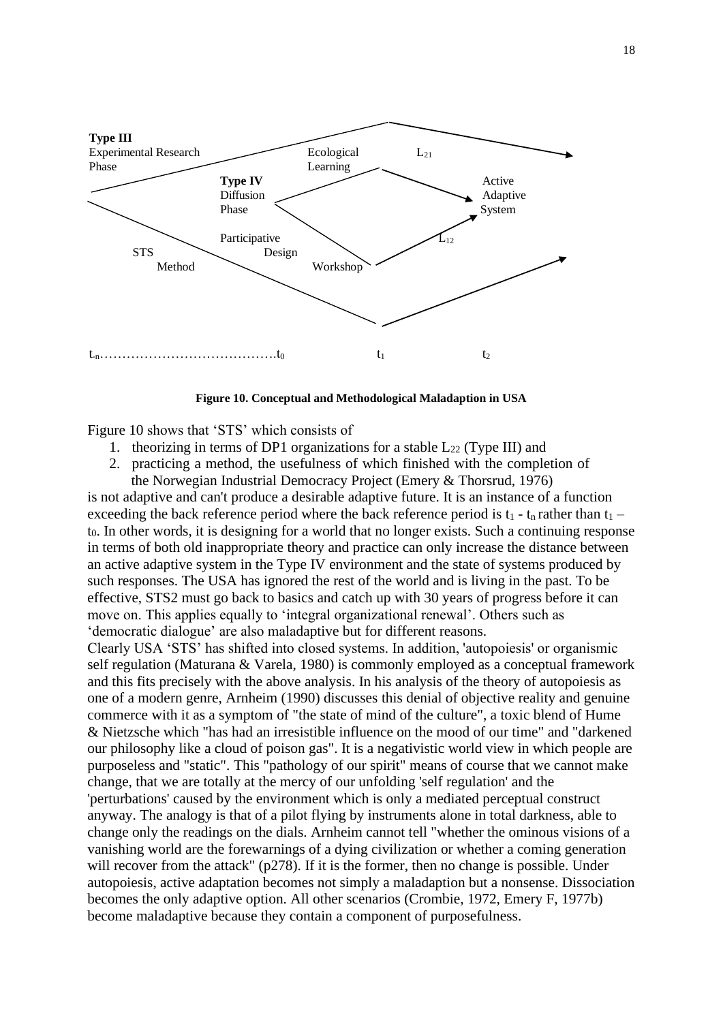

**Figure 10. Conceptual and Methodological Maladaption in USA**

Figure 10 shows that 'STS' which consists of

- 1. theorizing in terms of DP1 organizations for a stable  $L_{22}$  (Type III) and
- 2. practicing a method, the usefulness of which finished with the completion of the Norwegian Industrial Democracy Project (Emery & Thorsrud, 1976)

is not adaptive and can't produce a desirable adaptive future. It is an instance of a function exceeding the back reference period where the back reference period is  $t_1 - t_n$  rather than  $t_1$  – t0. In other words, it is designing for a world that no longer exists. Such a continuing response in terms of both old inappropriate theory and practice can only increase the distance between an active adaptive system in the Type IV environment and the state of systems produced by such responses. The USA has ignored the rest of the world and is living in the past. To be effective, STS2 must go back to basics and catch up with 30 years of progress before it can move on. This applies equally to 'integral organizational renewal'. Others such as 'democratic dialogue' are also maladaptive but for different reasons.

Clearly USA 'STS' has shifted into closed systems. In addition, 'autopoiesis' or organismic self regulation (Maturana & Varela, 1980) is commonly employed as a conceptual framework and this fits precisely with the above analysis. In his analysis of the theory of autopoiesis as one of a modern genre, Arnheim (1990) discusses this denial of objective reality and genuine commerce with it as a symptom of "the state of mind of the culture", a toxic blend of Hume & Nietzsche which "has had an irresistible influence on the mood of our time" and "darkened our philosophy like a cloud of poison gas". It is a negativistic world view in which people are purposeless and "static". This "pathology of our spirit" means of course that we cannot make change, that we are totally at the mercy of our unfolding 'self regulation' and the 'perturbations' caused by the environment which is only a mediated perceptual construct anyway. The analogy is that of a pilot flying by instruments alone in total darkness, able to change only the readings on the dials. Arnheim cannot tell "whether the ominous visions of a vanishing world are the forewarnings of a dying civilization or whether a coming generation will recover from the attack" (p278). If it is the former, then no change is possible. Under autopoiesis, active adaptation becomes not simply a maladaption but a nonsense. Dissociation becomes the only adaptive option. All other scenarios (Crombie, 1972, Emery F, 1977b) become maladaptive because they contain a component of purposefulness.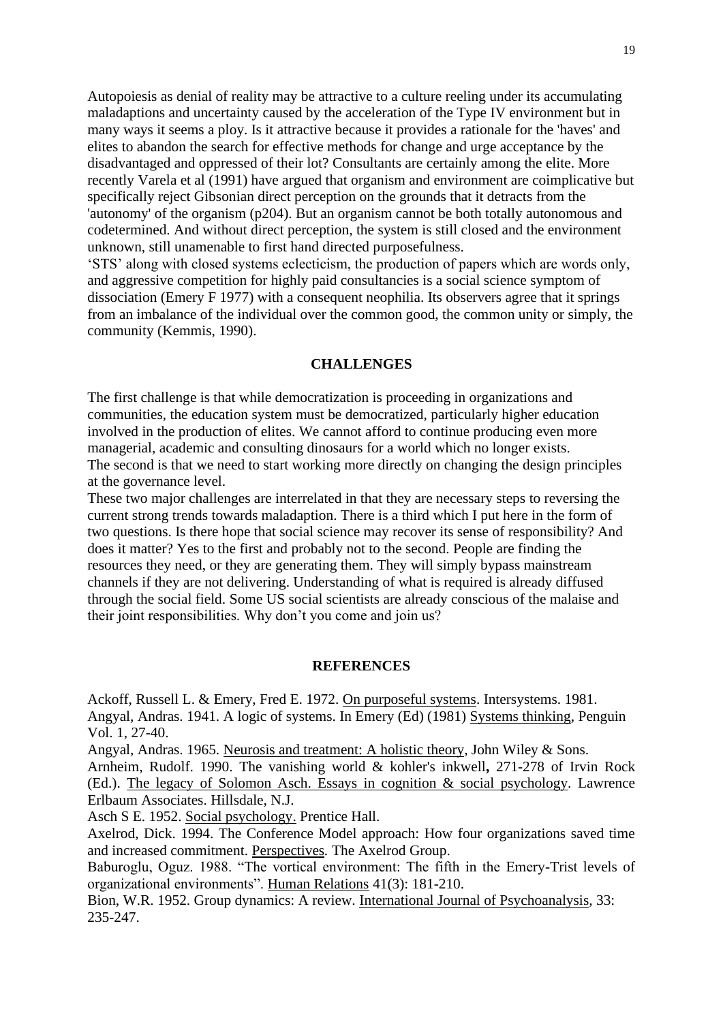Autopoiesis as denial of reality may be attractive to a culture reeling under its accumulating maladaptions and uncertainty caused by the acceleration of the Type IV environment but in many ways it seems a ploy. Is it attractive because it provides a rationale for the 'haves' and elites to abandon the search for effective methods for change and urge acceptance by the disadvantaged and oppressed of their lot? Consultants are certainly among the elite. More recently Varela et al (1991) have argued that organism and environment are coimplicative but specifically reject Gibsonian direct perception on the grounds that it detracts from the 'autonomy' of the organism (p204). But an organism cannot be both totally autonomous and codetermined. And without direct perception, the system is still closed and the environment unknown, still unamenable to first hand directed purposefulness.

'STS' along with closed systems eclecticism, the production of papers which are words only, and aggressive competition for highly paid consultancies is a social science symptom of dissociation (Emery F 1977) with a consequent neophilia. Its observers agree that it springs from an imbalance of the individual over the common good, the common unity or simply, the community (Kemmis, 1990).

#### **CHALLENGES**

The first challenge is that while democratization is proceeding in organizations and communities, the education system must be democratized, particularly higher education involved in the production of elites. We cannot afford to continue producing even more managerial, academic and consulting dinosaurs for a world which no longer exists. The second is that we need to start working more directly on changing the design principles at the governance level.

These two major challenges are interrelated in that they are necessary steps to reversing the current strong trends towards maladaption. There is a third which I put here in the form of two questions. Is there hope that social science may recover its sense of responsibility? And does it matter? Yes to the first and probably not to the second. People are finding the resources they need, or they are generating them. They will simply bypass mainstream channels if they are not delivering. Understanding of what is required is already diffused through the social field. Some US social scientists are already conscious of the malaise and their joint responsibilities. Why don't you come and join us?

#### **REFERENCES**

Ackoff, Russell L. & Emery, Fred E. 1972. On purposeful systems. Intersystems. 1981. Angyal, Andras. 1941. A logic of systems. In Emery (Ed) (1981) Systems thinking, Penguin Vol. 1, 27-40.

Angyal, Andras. 1965. Neurosis and treatment: A holistic theory, John Wiley & Sons. Arnheim, Rudolf. 1990. The vanishing world & kohler's inkwell**,** 271-278 of Irvin Rock (Ed.). The legacy of Solomon Asch. Essays in cognition & social psychology*.* Lawrence Erlbaum Associates. Hillsdale, N.J.

Asch S E. 1952. Social psychology. Prentice Hall.

Axelrod, Dick. 1994. The Conference Model approach: How four organizations saved time and increased commitment. Perspectives*.* The Axelrod Group.

Baburoglu, Oguz. 1988. "The vortical environment: The fifth in the Emery-Trist levels of organizational environments". Human Relations 41(3): 181-210.

Bion, W.R. 1952. Group dynamics: A review. International Journal of Psychoanalysis*,* 33: 235-247.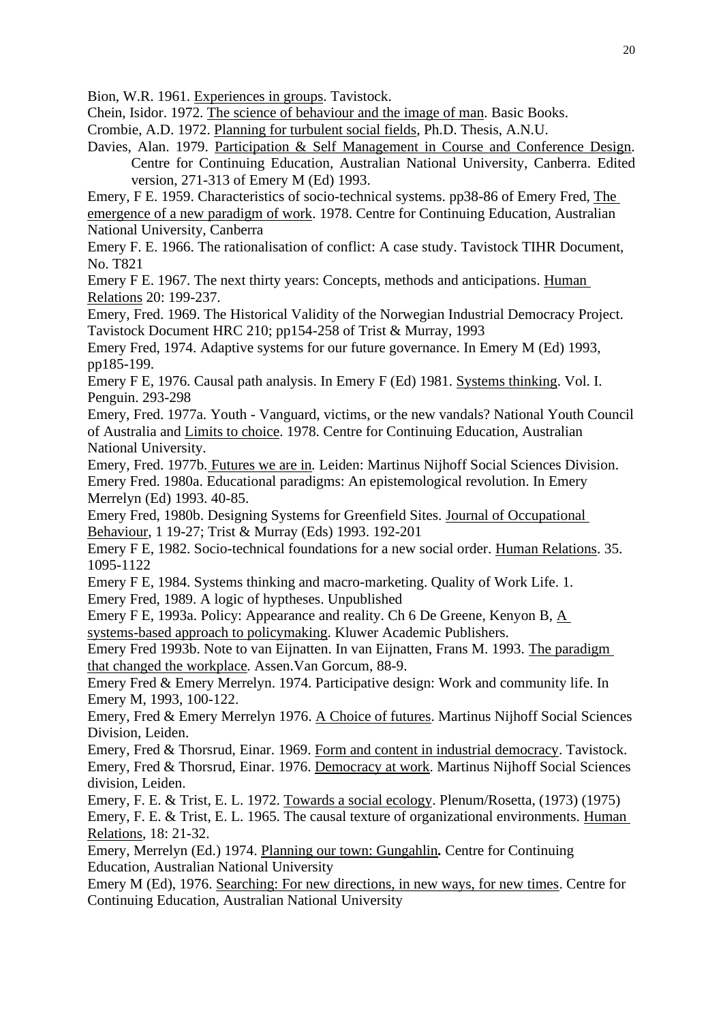Bion, W.R. 1961. Experiences in groups. Tavistock.

Chein, Isidor. 1972. The science of behaviour and the image of man. Basic Books.

Crombie, A.D. 1972. Planning for turbulent social fields, Ph.D. Thesis, A.N.U.

Davies, Alan. 1979. Participation & Self Management in Course and Conference Design*.* Centre for Continuing Education, Australian National University, Canberra. Edited version, 271-313 of Emery M (Ed) 1993.

Emery, F E. 1959. Characteristics of socio-technical systems. pp38-86 of Emery Fred, The emergence of a new paradigm of work. 1978. Centre for Continuing Education, Australian National University, Canberra

Emery F. E. 1966. The rationalisation of conflict: A case study. Tavistock TIHR Document, No. T821

Emery F E. 1967. The next thirty years: Concepts, methods and anticipations. Human Relations 20: 199-237.

Emery, Fred. 1969. The Historical Validity of the Norwegian Industrial Democracy Project. Tavistock Document HRC 210; pp154-258 of Trist & Murray, 1993

Emery Fred, 1974. Adaptive systems for our future governance. In Emery M (Ed) 1993, pp185-199.

Emery F E, 1976. Causal path analysis. In Emery F (Ed) 1981. Systems thinking. Vol. I. Penguin. 293-298

Emery, Fred. 1977a. Youth - Vanguard, victims, or the new vandals? National Youth Council of Australia and Limits to choice. 1978. Centre for Continuing Education, Australian National University.

Emery, Fred. 1977b. Futures we are in*.* Leiden: Martinus Nijhoff Social Sciences Division. Emery Fred. 1980a. Educational paradigms: An epistemological revolution. In Emery Merrelyn (Ed) 1993. 40-85.

Emery Fred, 1980b. Designing Systems for Greenfield Sites. Journal of Occupational Behaviour, 1 19-27; Trist & Murray (Eds) 1993. 192-201

Emery F E, 1982. Socio-technical foundations for a new social order. Human Relations. 35. 1095-1122

Emery F E, 1984. Systems thinking and macro-marketing. Quality of Work Life. 1.

Emery Fred, 1989. A logic of hyptheses. Unpublished

Emery F E, 1993a. Policy: Appearance and reality. Ch 6 De Greene, Kenyon B, A systems-based approach to policymaking. Kluwer Academic Publishers.

Emery Fred 1993b. Note to van Eijnatten. In van Eijnatten, Frans M. 1993. The paradigm that changed the workplace*.* Assen.Van Gorcum, 88-9.

Emery Fred & Emery Merrelyn. 1974. Participative design: Work and community life. In Emery M, 1993, 100-122.

Emery, Fred & Emery Merrelyn 1976. A Choice of futures. Martinus Nijhoff Social Sciences Division, Leiden.

Emery, Fred & Thorsrud, Einar. 1969. Form and content in industrial democracy. Tavistock. Emery, Fred & Thorsrud, Einar. 1976. Democracy at work. Martinus Nijhoff Social Sciences division, Leiden.

Emery, F. E. & Trist, E. L. 1972. Towards a social ecology. Plenum/Rosetta, (1973) (1975) Emery, F. E. & Trist, E. L. 1965. The causal texture of organizational environments. Human Relations, 18: 21-32.

Emery, Merrelyn (Ed.) 1974. Planning our town: Gungahlin*.* Centre for Continuing Education, Australian National University

Emery M (Ed), 1976. Searching: For new directions, in new ways, for new times. Centre for Continuing Education, Australian National University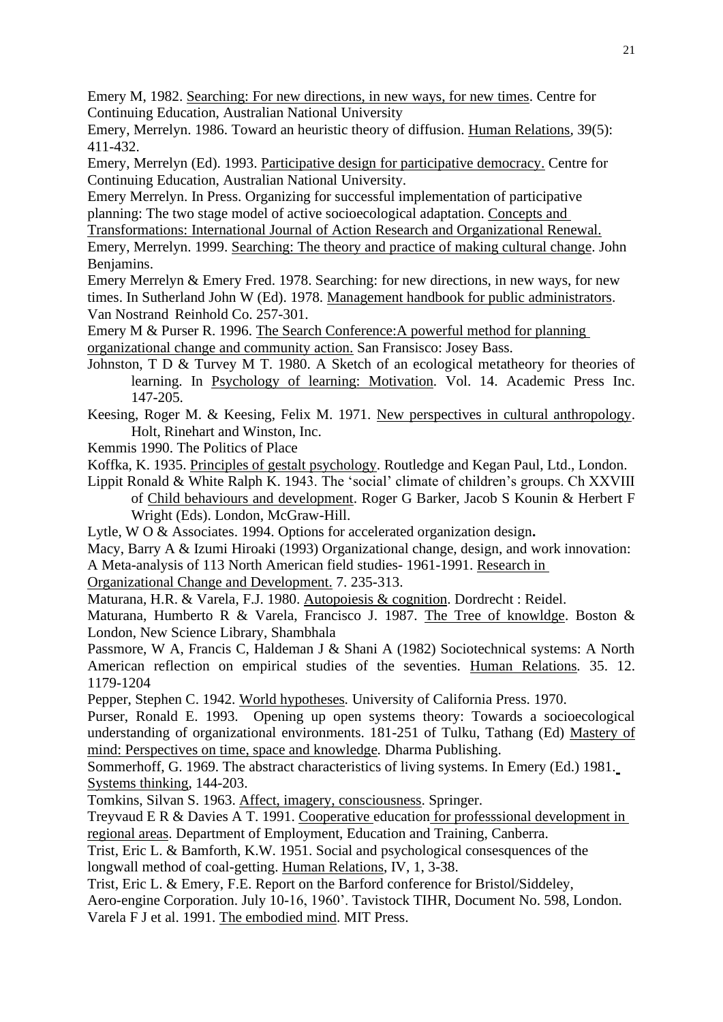Emery M, 1982. Searching: For new directions, in new ways, for new times. Centre for Continuing Education, Australian National University

Emery, Merrelyn. 1986. Toward an heuristic theory of diffusion. Human Relations*,* 39(5): 411-432.

Emery, Merrelyn (Ed). 1993. Participative design for participative democracy. Centre for Continuing Education, Australian National University.

Emery Merrelyn. In Press. Organizing for successful implementation of participative planning: The two stage model of active socioecological adaptation. Concepts and

Transformations: International Journal of Action Research and Organizational Renewal. Emery, Merrelyn. 1999. Searching: The theory and practice of making cultural change. John Benjamins.

Emery Merrelyn & Emery Fred. 1978. Searching: for new directions, in new ways, for new times. In Sutherland John W (Ed). 1978. Management handbook for public administrators. Van Nostrand Reinhold Co. 257-301.

Emery M & Purser R. 1996. The Search Conference:A powerful method for planning organizational change and community action. San Fransisco: Josey Bass.

- Johnston, T D & Turvey M T. 1980. A Sketch of an ecological metatheory for theories of learning. In Psychology of learning: Motivation*.* Vol. 14. Academic Press Inc. 147-205.
- Keesing, Roger M. & Keesing, Felix M. 1971. New perspectives in cultural anthropology. Holt, Rinehart and Winston, Inc.
- Kemmis 1990. The Politics of Place

Koffka, K. 1935. Principles of gestalt psychology. Routledge and Kegan Paul, Ltd., London.

Lippit Ronald & White Ralph K. 1943. The 'social' climate of children's groups. Ch XXVIII of Child behaviours and development. Roger G Barker, Jacob S Kounin & Herbert F Wright (Eds). London, McGraw-Hill.

Lytle, W O & Associates. 1994. Options for accelerated organization design**.**

Macy, Barry A & Izumi Hiroaki (1993) Organizational change, design, and work innovation:

A Meta-analysis of 113 North American field studies- 1961-1991. Research in

Organizational Change and Development. 7. 235-313.

Maturana, H.R. & Varela, F.J. 1980. Autopoiesis & cognition. Dordrecht : Reidel.

Maturana, Humberto R & Varela, Francisco J. 1987. The Tree of knowldge. Boston & London, New Science Library, Shambhala

Passmore, W A, Francis C, Haldeman J & Shani A (1982) Sociotechnical systems: A North American reflection on empirical studies of the seventies. Human Relations*.* 35. 12. 1179-1204

Pepper, Stephen C. 1942. World hypotheses*.* University of California Press. 1970.

Purser, Ronald E. 1993. Opening up open systems theory: Towards a socioecological understanding of organizational environments. 181-251 of Tulku, Tathang (Ed) Mastery of mind: Perspectives on time, space and knowledge*.* Dharma Publishing.

Sommerhoff, G. 1969. The abstract characteristics of living systems. In Emery (Ed.) 1981. Systems thinking, 144-203.

Tomkins, Silvan S. 1963. Affect, imagery, consciousness. Springer.

Treyvaud E R & Davies A T. 1991. Cooperative education for professsional development in regional areas. Department of Employment, Education and Training, Canberra.

Trist, Eric L. & Bamforth, K.W. 1951. Social and psychological consesquences of the longwall method of coal-getting. Human Relations, IV, 1, 3-38.

Trist, Eric L. & Emery, F.E. Report on the Barford conference for Bristol/Siddeley,

Aero-engine Corporation. July 10-16, 1960'. Tavistock TIHR, Document No. 598, London. Varela F J et al. 1991. The embodied mind. MIT Press.